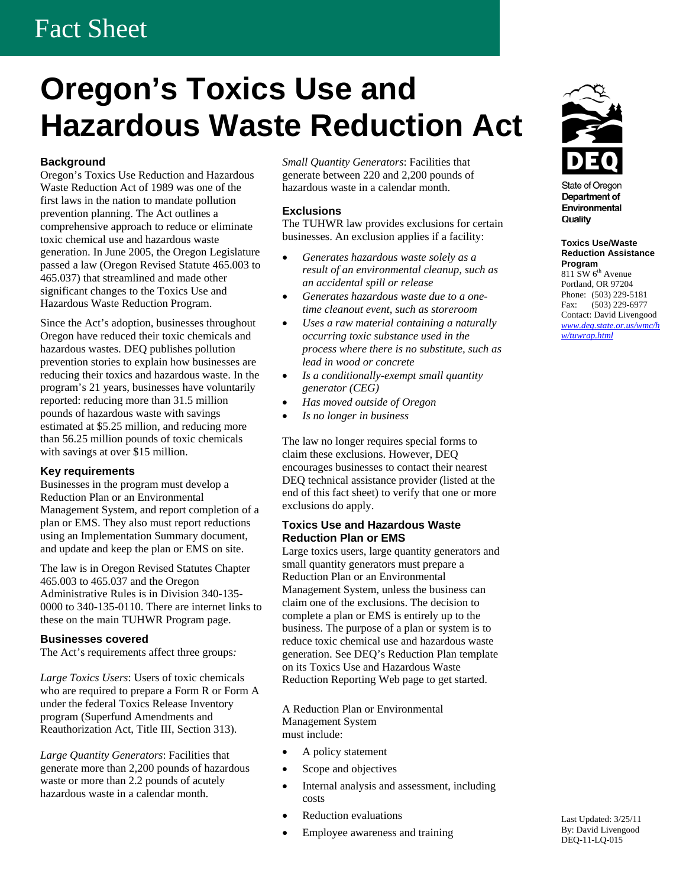# Fact Sheet

# **Oregon's Toxics Use and Hazardous Waste Reduction Act**

## **Background**

Oregon's Toxics Use Reduction and Hazardous Waste Reduction Act of 1989 was one of the first laws in the nation to mandate pollution prevention planning. The Act outlines a comprehensive approach to reduce or eliminate toxic chemical use and hazardous waste generation. In June 2005, the Oregon Legislature passed a law (Oregon Revised Statute 465.003 to 465.037) that streamlined and made other significant changes to the Toxics Use and Hazardous Waste Reduction Program.

Oregon have reduced their toxic chemicals and hazardous wastes. DEQ publishes pollution prevention stories to explain how businesses are reducing their toxics and hazardous waste. In the program's 21 years, businesses have voluntarily reported: reducing more than 31.5 million pounds of hazardous waste with savings estimated at \$5.25 million, and reducing more than 56.25 million pounds of toxic chemicals with savings at over \$15 million.

## **Key requirements**

Businesses in the program must develop a Reduction Plan or an Environmental Management System, and report completion of a plan or EMS. They also must report reductions using an Implementation Summary document, and update and keep the plan or EMS on site.

The law is in Oregon Revised Statutes Chapter 465.003 to 465.037 and the Oregon Administrative Rules is in Division 340-135- 0000 to 340-135-0110. There are internet links to these on the main TUHWR Program page.

## **Businesses covered**

The Act's requirements affect three groups*:* 

*Large Toxics Users*: Users of toxic chemicals who are required to prepare a Form R or Form A under the federal Toxics Release Inventory program (Superfund Amendments and Reauthorization Act, Title III, Section 313).

*Large Quantity Generators*: Facilities that generate more than 2,200 pounds of hazardous waste or more than 2.2 pounds of acutely hazardous waste in a calendar month.

*Small Quantity Generators*: Facilities that generate between 220 and 2,200 pounds of hazardous waste in a calendar month.

# **Exclusions**

The TUHWR law provides exclusions for certain businesses. An exclusion applies if a facility:

- *Generates hazardous waste solely as a result of an environmental cleanup, such as an accidental spill or release*
- *Generates hazardous waste due to a onetime cleanout event, such as storeroom*
- Since the Act's adoption, businesses throughout<br>Since the Act's adoption, businesses throughout<br>Uses a raw material containing a naturally<br> $\overline{u}$  contact: David Livengood • *Uses a raw material containing a naturally occurring toxic substance used in the process where there is no substitute, such as lead in wood or concrete* 
	- *Is a conditionally-exempt small quantity generator (CEG)*
	- *Has moved outside of Oregon*
	- *Is no longer in business*

The law no longer requires special forms to claim these exclusions. However, DEQ encourages businesses to contact their nearest DEQ technical assistance provider (listed at the end of this fact sheet) to verify that one or more exclusions do apply.

#### **Toxics Use and Hazardous Waste Reduction Plan or EMS**

Large toxics users, large quantity generators and small quantity generators must prepare a Reduction Plan or an Environmental Management System, unless the business can claim one of the exclusions. The decision to complete a plan or EMS is entirely up to the business. The purpose of a plan or system is to reduce toxic chemical use and hazardous waste generation. See DEQ's Reduction Plan template on its Toxics Use and Hazardous Waste Reduction Reporting Web page to get started.

A Reduction Plan or Environmental Management System must include:

- A policy statement
- Scope and objectives
- Internal analysis and assessment, including costs
- 
- Employee awareness and training By: David Livengon By: David Livengon DEO-11-LO-015



**State of Oregon** Department of Environmental Quality

**Toxics Use/Waste Reduction Assistance Program**  811 SW 6<sup>th</sup> Avenue Portland, OR 97204 Phone: (503) 229-5181 Fax: (503) 229-6977 *www.deq.state.or.us/wmc/h w/tuwrap.html* 

**Franchise Example 2018** Reduction evaluations<br> **Example 2018** Reduction Employee awareness and training<br> **Example 2018** Reduction By: David Livengood